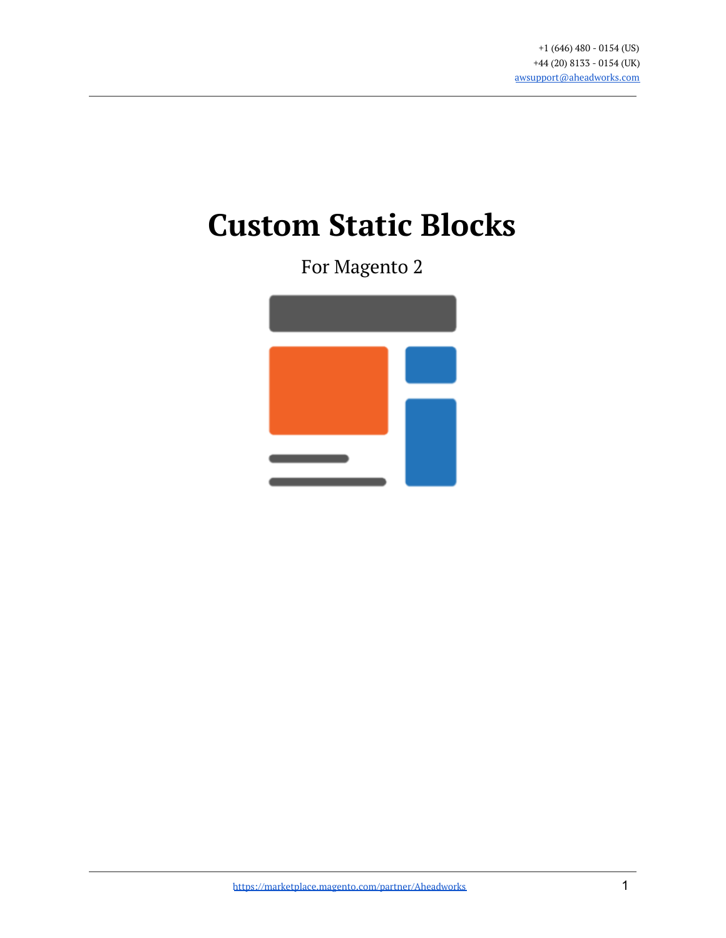# **Custom Static Blocks**

For Magento 2

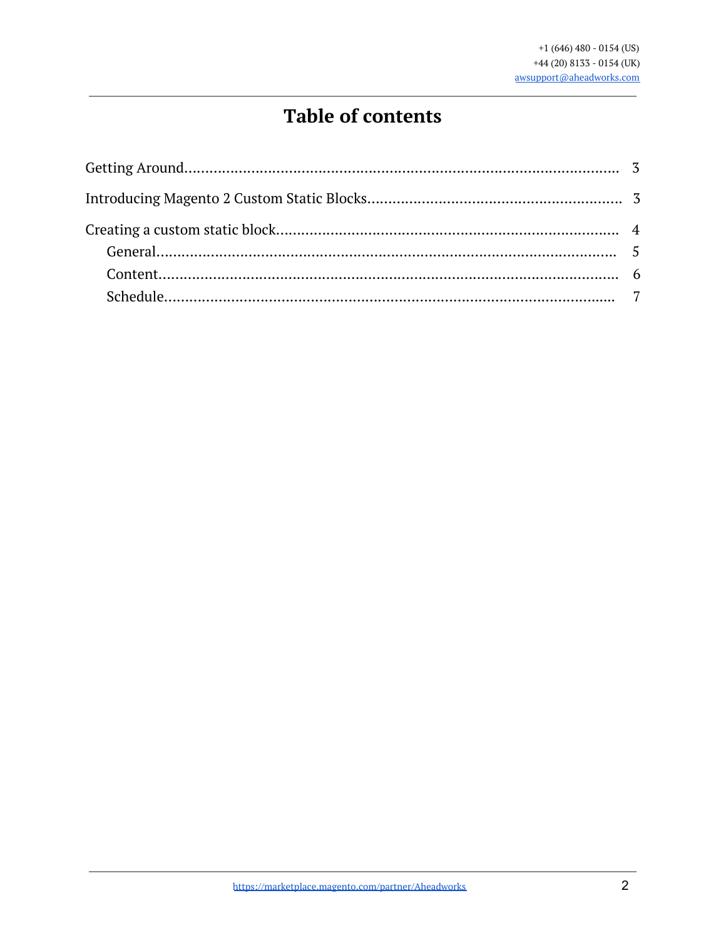### **Table of contents**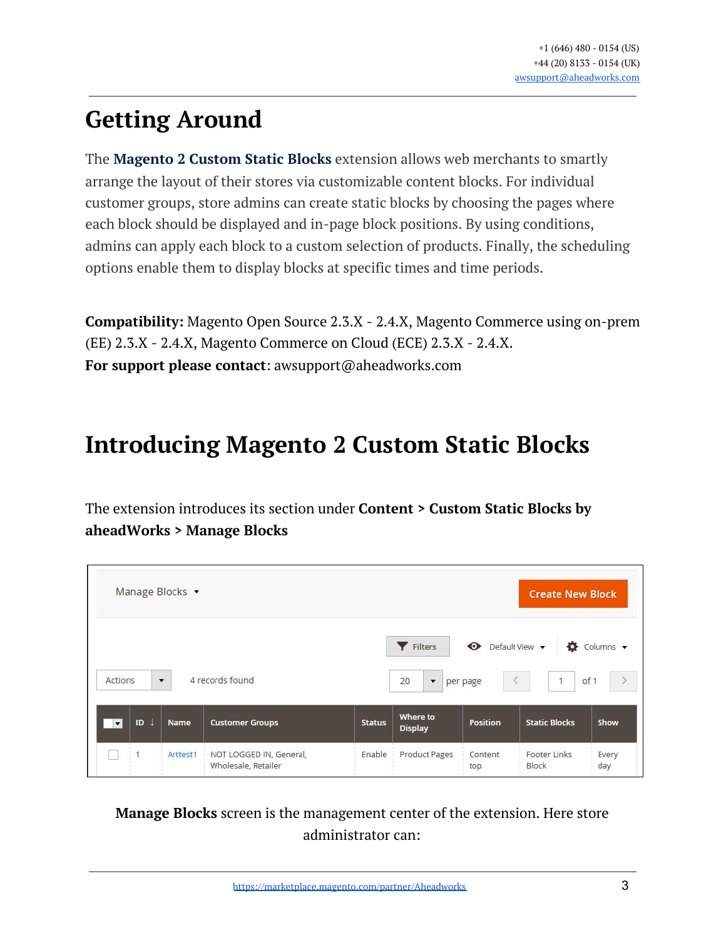# <span id="page-2-0"></span>**Getting Around**

The **Magento 2 Custom Static Blocks** extension allows web merchants to smartly arrange the layout of their stores via customizable content blocks. For individual customer groups, store admins can create static blocks by choosing the pages where each block should be displayed and in-page block positions. By using conditions, admins can apply each block to a custom selection of products. Finally, the scheduling options enable them to display blocks at specific times and time periods.

**Compatibility:** Magento Open Source 2.3.X - 2.4.X, Magento Commerce using on-prem (EE) 2.3.X - 2.4.X, Magento Commerce on Cloud (ECE) 2.3.X - 2.4.X. **For support please contact**: awsupport@aheadworks.com

# <span id="page-2-1"></span>**Introducing Magento 2 Custom Static Blocks**

The extension introduces its section under **Content > Custom Static Blocks by aheadWorks > Manage Blocks**

| Manage Blocks v                |                      |                         |               |                                           |                       | <b>Create New Block</b>             |                   |
|--------------------------------|----------------------|-------------------------|---------------|-------------------------------------------|-----------------------|-------------------------------------|-------------------|
| <b>Actions</b>                 | $\blacktriangledown$ | 4 records found         |               | Filters<br>20<br>$\overline{\phantom{a}}$ | $\bullet$<br>per page | Default View v<br>o<br>$\mathbf{1}$ | Columns v<br>of 1 |
| ID<br>$\overline{\phantom{a}}$ | <b>Name</b>          | <b>Customer Groups</b>  | <b>Status</b> | Where to<br><b>Display</b>                | <b>Position</b>       | <b>Static Blocks</b>                | Show              |
| 1                              | Arttest1             | NOT LOGGED IN, General, | Enable        | <b>Product Pages</b>                      | Content               | <b>Footer Links</b>                 | Every             |

#### **Manage Blocks** screen is the management center of the extension. Here store administrator can: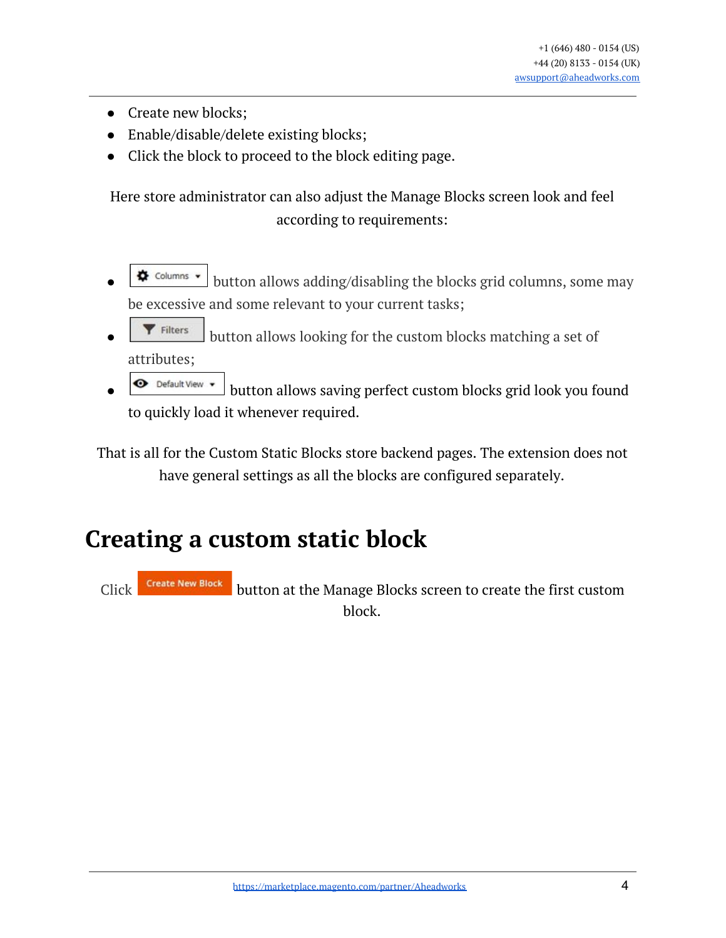- Create new blocks;
- Enable/disable/delete existing blocks;
- Click the block to proceed to the block editing page.

Here store administrator can also adjust the Manage Blocks screen look and feel according to requirements:

- $\triangle$  columns  $\cdot$  button allows adding/disabling the blocks grid columns, some may be excessive and some relevant to your current tasks;
- $\blacktriangleright$  Filters button allows looking for the custom blocks matching a set of attributes;
- **■** Default View button allows saving perfect custom blocks grid look you found to quickly load it whenever required.

That is all for the Custom Static Blocks store backend pages. The extension does not have general settings as all the blocks are configured separately.

# <span id="page-3-0"></span>**Creating a custom static block**

Click **Create New Block** button at the Manage Blocks screen to create the first custom block.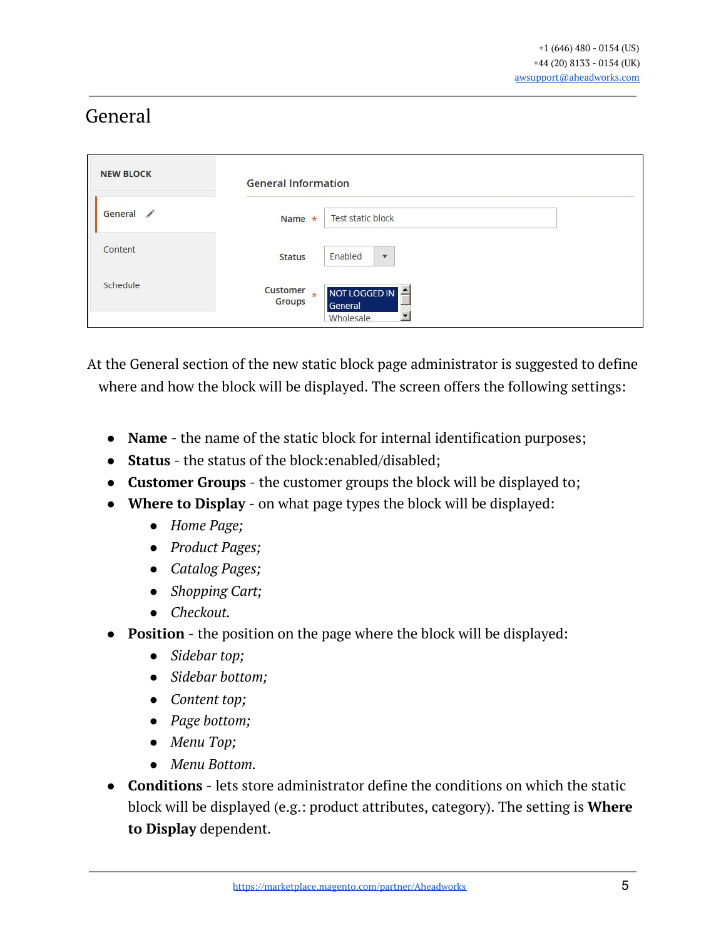### <span id="page-4-0"></span>General

| <b>NEW BLOCK</b>                    | <b>General Information</b>                                |
|-------------------------------------|-----------------------------------------------------------|
| General<br>$\overline{\phantom{a}}$ | <b>Test static block</b><br>Name $\star$                  |
| Content                             | Enabled<br><b>Status</b><br>$\blacktriangledown$          |
| Schedule                            | Customer<br>NOT LOGGED IN<br>$\star$<br>Groups<br>General |
|                                     | $\overline{\phantom{a}}$<br>Wholesale                     |

At the General section of the new static block page administrator is suggested to define where and how the block will be displayed. The screen offers the following settings:

- **Name** the name of the static block for internal identification purposes;
- **Status** the status of the block:enabled/disabled;
- **Customer Groups** the customer groups the block will be displayed to;
- **Where to Display** on what page types the block will be displayed:
	- *Home Page;*
	- *Product Pages;*
	- *Catalog Pages;*
	- *Shopping Cart;*
	- *Checkout.*
- **Position** the position on the page where the block will be displayed:
	- *Sidebar top;*
	- *Sidebar bottom;*
	- *Content top;*
	- *Page bottom;*
	- *Menu Top;*
	- *Menu Bottom.*
- **Conditions** lets store administrator define the conditions on which the static block will be displayed (e.g.: product attributes, category). The setting is **Where to Display** dependent.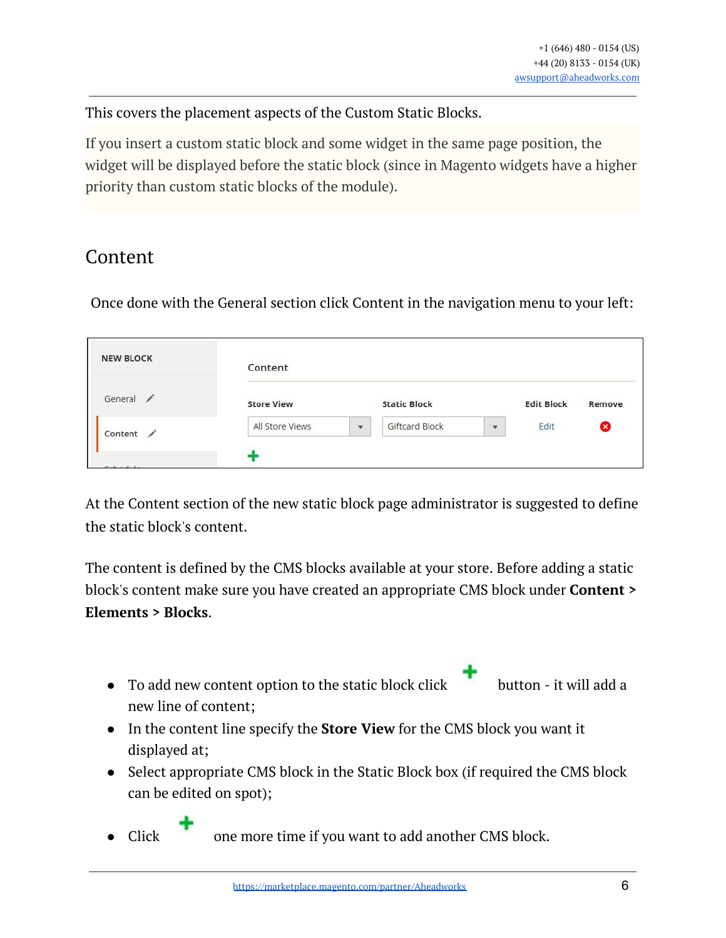This covers the placement aspects of the Custom Static Blocks.

If you insert a custom static block and some widget in the same page position, the widget will be displayed before the static block (since in Magento widgets have a higher priority than custom static blocks of the module).

#### <span id="page-5-0"></span>Content

Once done with the General section click Content in the navigation menu to your left:

| <b>NEW BLOCK</b>                    | Content           |              |                       |                          |        |   |
|-------------------------------------|-------------------|--------------|-----------------------|--------------------------|--------|---|
| General<br>$\overline{\phantom{a}}$ | <b>Store View</b> |              | <b>Static Block</b>   | <b>Edit Block</b>        | Remove |   |
| Content /                           | All Store Views   | $\mathbf{v}$ | <b>Giftcard Block</b> | $\overline{\phantom{a}}$ | Edit   | Ø |

At the Content section of the new static block page administrator is suggested to define the static block's content.

The content is defined by the CMS blocks available at your store. Before adding a static block's content make sure you have created an appropriate CMS block under **Content > Elements > Blocks**.

 $\bullet$  To add new content option to the static block click button - it will add a new line of content;

- In the content line specify the **Store View** for the CMS block you want it displayed at;
- Select appropriate CMS block in the Static Block box (if required the CMS block can be edited on spot);

• Click one more time if you want to add another CMS block.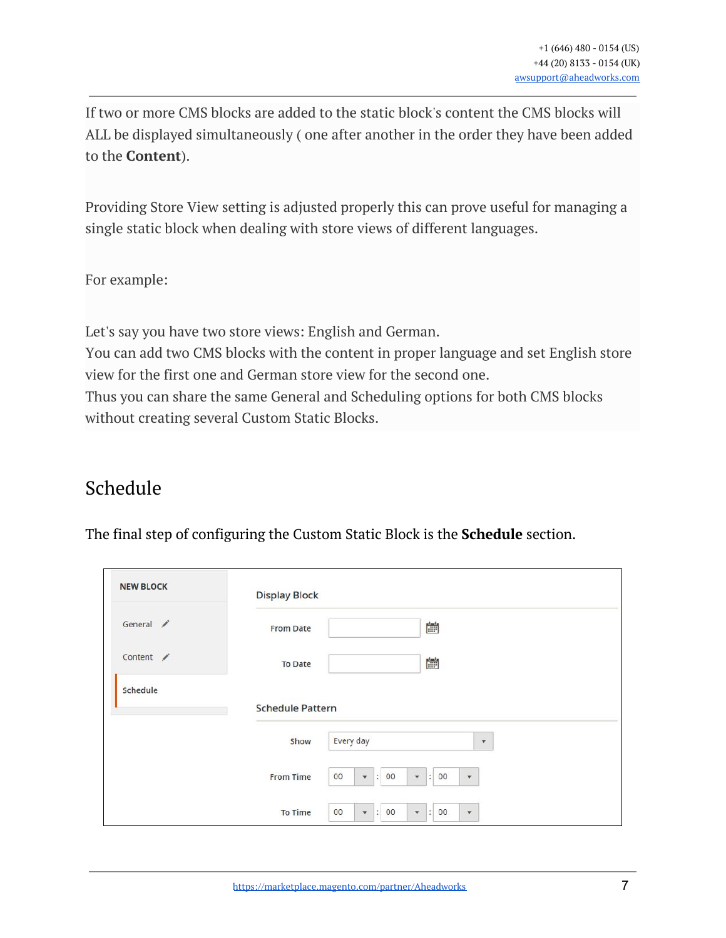If two or more CMS blocks are added to the static block's content the CMS blocks will ALL be displayed simultaneously ( one after another in the order they have been added to the **Content**).

Providing Store View setting is adjusted properly this can prove useful for managing a single static block when dealing with store views of different languages.

For example:

Let's say you have two store views: English and German.

You can add two CMS blocks with the content in proper language and set English store view for the first one and German store view for the second one.

<span id="page-6-0"></span>Thus you can share the same General and Scheduling options for both CMS blocks without creating several Custom Static Blocks.

### Schedule

The final step of configuring the Custom Static Block is the **Schedule** section.

| <b>NEW BLOCK</b> | <b>Display Block</b>    |                                                                                                                          |
|------------------|-------------------------|--------------------------------------------------------------------------------------------------------------------------|
| General /        | <b>From Date</b>        | 當                                                                                                                        |
| Content /        | <b>To Date</b>          | Ė                                                                                                                        |
| Schedule         |                         |                                                                                                                          |
|                  | <b>Schedule Pattern</b> |                                                                                                                          |
|                  | Show                    | Every day<br>$\mathbf{v}$                                                                                                |
|                  | <b>From Time</b>        | 00<br>00<br>00<br>$\vert$ :<br>$\ddot{\cdot}$<br>$\blacktriangledown$<br>$\bar{\mathbf{v}}$<br>$\boldsymbol{\mathrm{v}}$ |
|                  | <b>To Time</b>          | 00<br>00<br>00<br>$\vert$ :<br>$\ddot{\phantom{a}}$<br>$\pmb{\mathrm{v}}$<br>$\mathbf{v}$<br>$\blacktriangledown$        |